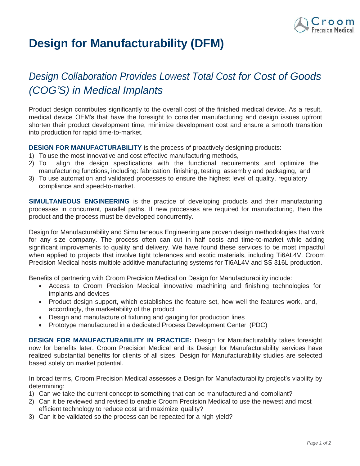

## **Design for Manufacturability (DFM)**

## *Design Collaboration Provides Lowest Total Cost for Cost of Goods (COG'S) in Medical Implants*

Product design contributes significantly to the overall cost of the finished medical device. As a result, medical device OEM's that have the foresight to consider manufacturing and design issues upfront shorten their product development time, minimize development cost and ensure a smooth transition into production for rapid time-to-market.

**DESIGN FOR MANUFACTURABILITY** is the process of proactively designing products:

- 1) To use the most innovative and cost effective manufacturing methods,
- 2) To align the design specifications with the functional requirements and optimize the manufacturing functions, including: fabrication, finishing, testing, assembly and packaging, and
- 3) To use automation and validated processes to ensure the highest level of quality, regulatory compliance and speed-to-market.

**SIMULTANEOUS ENGINEERING** is the practice of developing products and their manufacturing processes in concurrent, parallel paths. If new processes are required for manufacturing, then the product and the process must be developed concurrently.

Design for [Manufacturability a](http://www.nnoble.com/services/toolroom/dfm.htm)nd Simultaneous Engineering are proven design methodologies that work for any size company. The process often can cut in half costs and time-to-market while adding significant improvements to quality and delivery. We have found these services to be most impactful when applied to projects that involve tight tolerances and exotic materials, including Ti6AL4V. Croom Precision Medical hosts multiple additive manufacturing systems for Ti6AL4V and SS 316L production.

Benefits of partnering with Croom Precision Medical on Design for Manufacturability include:

- Access to Croom Precision Medical innovative machining and finishing technologies for implants and devices
- Product design support, which establishes the feature set, how well the features work, and, accordingly, the marketability of the product
- Design and manufacture of fixturing and gauging for production lines
- [Prototype m](http://www.nnoble.com/capabilities/protool/prototype.htm)anufactured in a dedicated Process Development Center (PDC)

**DESIGN FOR MANUFACTURABILITY IN PRACTICE:** Design for Manufacturability takes foresight now for benefits later. Croom Precision Medical and its Design for Manufacturability services have realized substantial benefits for clients of all sizes. Design for Manufacturability studies are selected based solely on market potential.

In broad terms, Croom Precision Medical assesses a Design for Manufacturability project's viability by determining:

- 1) Can we take the current concept to something that can be manufactured and compliant?
- 2) Can it be reviewed and revised to enable Croom Precision Medical to use the newest and most efficient technology to reduce cost and maximize quality?
- 3) Can it be validated so the process can be repeated for a high yield?